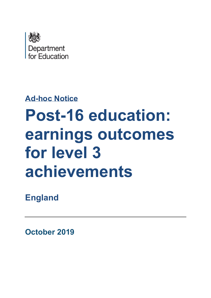

# **Ad-hoc Notice**

# **Post-16 education: earnings outcomes for level 3 achievements**

**England**

**October 2019**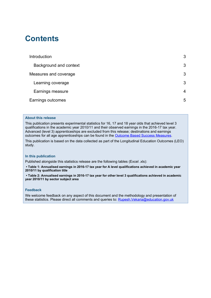## **Contents**

| Introduction           | 3 |
|------------------------|---|
| Background and context | 3 |
| Measures and coverage  | 3 |
| Learning coverage      | 3 |
| Earnings measure       | 4 |
| Earnings outcomes      | 5 |

#### **About this release**

This publication presents experimental statistics for 16, 17 and 18 year olds that achieved level 3 qualifications in the academic year 2010/11 and their observed earnings in the 2016-17 tax year. Advanced (level 3) apprenticeships are excluded from this release; destinations and earnings outcomes for all age apprenticeships can be found in the [Outcome Based Success Measures.](https://www.gov.uk/government/collections/statistics-outcome-based-success-measures)

This publication is based on the data collected as part of the Longitudinal Education Outcomes (LEO) study.

#### **In this publication**

Published alongside this statistics release are the following tables (Excel .xls):

**• Table 1: Annualised earnings in 2016-17 tax year for A level qualifications achieved in academic year 2010/11 by qualification title** 

**• Table 2: Annualised earnings in 2016-17 tax year for other level 3 qualifications achieved in academic year 2010/11 by sector subject area**

#### **Feedback**

We welcome feedback on any aspect of this document and the methodology and presentation of these statistics. Please direct all comments and queries to: **Rupesh.Vekaria@education.gov.uk**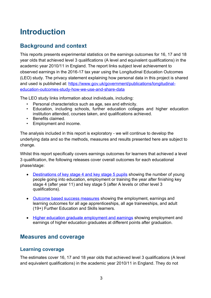# <span id="page-2-0"></span>**Introduction**

## <span id="page-2-1"></span>**Background and context**

This reports presents experimental statistics on the earnings outcomes for 16, 17 and 18 year olds that achieved level 3 qualifications (A level and equivalent qualifications) in the academic year 2010/11 in England. The report links subject level achievement to observed earnings in the 2016-17 tax year using the Longitudinal Education Outcomes (LEO) study. The privacy statement explaining how personal data in this project is shared and used is published at: [https://www.gov.uk/government/publications/longitudinal](https://www.gov.uk/government/publications/longitudinal-education-outcomes-study-how-we-use-and-share-data)[education-outcomes-study-how-we-use-and-share-data](https://www.gov.uk/government/publications/longitudinal-education-outcomes-study-how-we-use-and-share-data)

The LEO study links information about individuals, including:

- Personal characteristics such as age, sex and ethnicity.
- Education, including schools, further education colleges and higher education institution attended, courses taken, and qualifications achieved.
- Benefits claimed.
- Employment and income.

The analysis included in this report is exploratory - we will continue to develop the underlying data and so the methods, measures and results presented here are subject to change.

Whilst this report specifically covers earnings outcomes for learners that achieved a level 3 qualification, the following releases cover overall outcomes for each educational phase/stage:

- [Destinations of key stage 4 and key stage 5 pupils](https://www.gov.uk/government/collections/statistics-destinations) showing the number of young people going into education, employment or training the year after finishing key stage 4 (after year 11) and key stage 5 (after A levels or other level 3 qualifications).
- [Outcome based success measures](https://www.gov.uk/government/collections/statistics-outcome-based-success-measures) showing the employment, earnings and learning outcomes for all age apprenticeships, all age traineeships, and adult (19+) Further Education and Skills learners.
- [Higher education graduate employment and earnings](https://www.gov.uk/government/collections/statistics-higher-education-graduate-employment-and-earnings) showing employment and earnings of higher education graduates at different points after graduation.

## <span id="page-2-2"></span>**Measures and coverage**

## <span id="page-2-3"></span>**Learning coverage**

The estimates cover 16, 17 and 18 year olds that achieved level 3 qualifications (A level and equivalent qualifications) in the academic year 2010/11 in England. They do not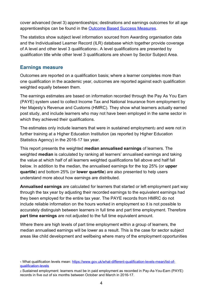cover advanced (level 3) apprenticeships; destinations and earnings outcomes for all age apprenticeships can be found in the [Outcome Based Success Measures.](https://www.gov.uk/government/collections/statistics-outcome-based-success-measures)

The statistics show subject level information sourced from Awarding organisation data and the Individualised Learner Record (ILR) database which together provide coverage of A level and other level 3 qualifications1. A level qualifications are presented by qualification title while other level 3 qualifications are shown by Sector Subject Area.

## <span id="page-3-0"></span>**Earnings measure**

Outcomes are reported on a qualification basis; where a learner completes more than one qualification in the academic year, outcomes are reported against each qualification weighted equally between them.

The earnings estimates are based on information recorded through the Pay As You Earn (PAYE) system used to collect Income Tax and National Insurance from employment by Her Majesty's Revenue and Customs (HMRC). They show what learners actually earned post study, and include learners who may not have been employed in the same sector in which they achieved their qualifications.

The estimates only include learners that were in sustained employment<sub>2</sub> and were not in further training at a Higher Education Institution (as reported by Higher Education Statistics Agency) in the 2016-17 tax year.

This report presents the weighted **median annualised earnings** of learners. The weighted **median** is calculated by ranking all learners' annualised earnings and taking the value at which half of all learners weighted qualifications fall above and half fall below. In addition to the median, the annualised earnings for the top 25% (or **upper quartile**) and bottom 25% (or **lower quartile**) are also presented to help users understand more about how earnings are distributed.

**Annualised earnings** are calculated for learners that started or left employment part way through the tax year by adjusting their recorded earnings to the equivalent earnings had they been employed for the entire tax year. The PAYE records from HMRC do not include reliable information on the hours worked in employment so it is not possible to accurately distinguish between learners in full time and part time employment. Therefore **part time earnings** are not adjusted to the full time equivalent amount.

Where there are high levels of part time employment within a group of learners, the median annualised earnings will be lower as a result. This is the case for sector subject areas like child development and wellbeing where many of the employment opportunities

<sup>1</sup> What qualification levels mean: [https://www.gov.uk/what-different-qualification-levels-mean/list-of](https://www.gov.uk/what-different-qualification-levels-mean/list-of-qualification-levels)[qualification-levels](https://www.gov.uk/what-different-qualification-levels-mean/list-of-qualification-levels)

<sup>2</sup> Sustained employment: learners must be in paid employment as recorded in Pay-As-You-Earn (PAYE) records in five out of six months between October and March in 2016-17.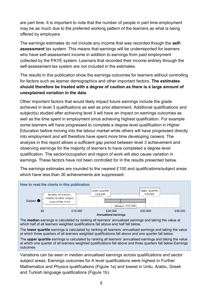are part time. It is important to note that the number of people in part time employment may be as much due to the preferred working pattern of the learners as what is being offered by employers.

The earnings estimates do not include any income that was recorded though the **selfassessment** tax system. This means that earnings will be underreported for learners who have self-assessment income in addition to earnings from paid employment collected by the PAYE system. Learners that recorded their income entirely through the self-assessment tax system are not included in the estimates.

The results in this publication show the earnings outcomes for learners without controlling for factors such as learner demographics and other important factors. **The estimates should therefore be treated with a degree of caution as there is a large amount of unexplained variation in the data**.

Other important factors that would likely impact future earnings include the grade achieved in level 3 qualifications as well as prior attainment. Additional qualifications and subject(s) studied after achieving level 3 will have an impact on earnings outcomes as well as the time spent in employment since achieving highest qualification. For example some learners will have progressed to complete a degree level qualification in Higher Education before moving into the labour market while others will have progressed directly into employment and will therefore have spent more time developing careers. The analysis in this report allows a sufficient gap period between level 3 achievement and observing earnings for the majority of learners to have completed a degree level qualification. The sector/occupation and region of work will also cause variation in earnings. These factors have not been controlled for in the results presented below.

The earnings estimates are rounded to the nearest £100 and qualifications/subject areas which have less than 30 achievements are suppressed.



The **median** earnings is calculated by ranking all learners' annualised earnings and taking the value at which half of all learners weighted qualifications fall above and half fall below.

The **lower quartile** earnings is calculated by ranking all learners' annualised earnings and taking the value at which three quarters of all learners weighted qualifications fall above and one quarter fall below.

<span id="page-4-0"></span>The **upper quartile** earnings is calculated by ranking all learners' annualised earnings and taking the value at which one quarter of all learners weighted qualifications fall above and three quarters fall below.Earnings outcomes

Variations can be seen in median annualised earnings across qualifications and sector subject areas. Earnings outcomes for A level qualifications were highest in Further Mathematics and Physics qualifications (Figure 1a) and lowest in Urdu, Arabic, Greek and Turkish language qualifications (Figure 1b).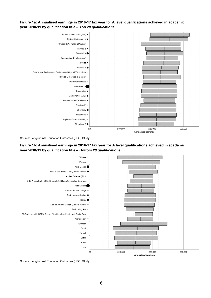#### **Figure 1a: Annualised earnings in 2016-17 tax year for A level qualifications achieved in academic year 2010/11 by qualification title –** *Top 20 qualifications*



Source: Longitudinal Education Outcomes (LEO) Study

### **Figure 1b: Annualised earnings in 2016-17 tax year for A level qualifications achieved in academic year 2010/11 by qualification title –** *Bottom 20 qualifications*



Source: Longitudinal Education Outcomes (LEO) Study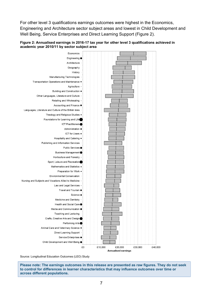For other level 3 qualifications earnings outcomes were highest in the Economics, Engineering and Architecture sector subject areas and lowest in Child Development and Well Being, Service Enterprises and Direct Learning Support (Figure 2).





Source: Longitudinal Education Outcomes (LEO) Study

**Please note: The earnings outcomes in this release are presented as raw figures. They do not seek to control for differences in learner characteristics that may influence outcomes over time or across different populations.**